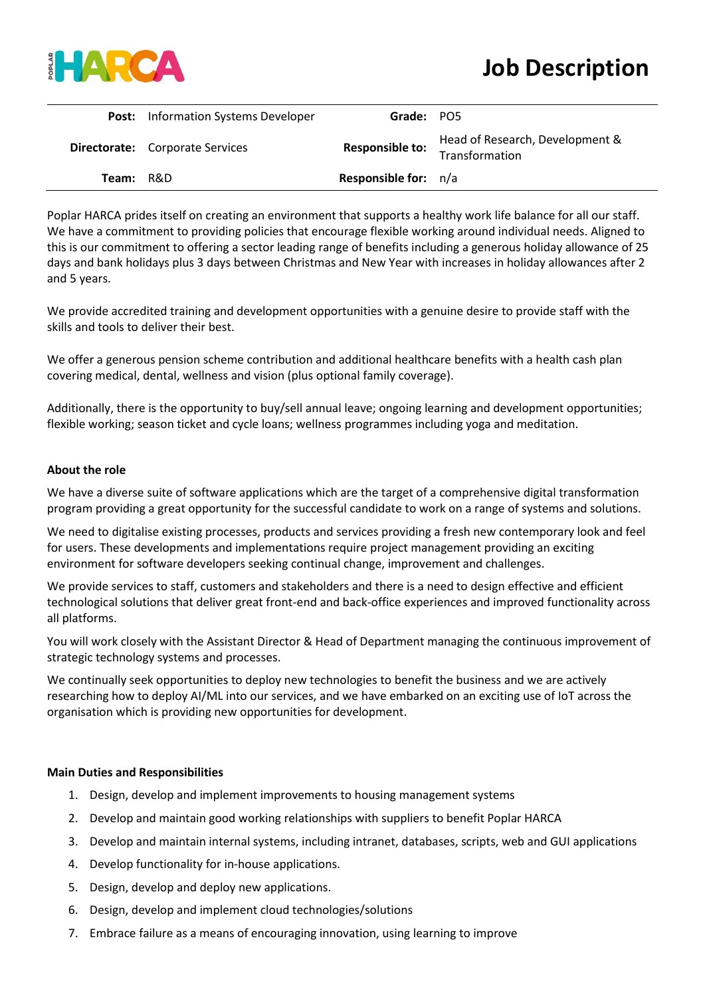

|           | <b>Post:</b> Information Systems Developer | Grade: PO5                  |                                                   |
|-----------|--------------------------------------------|-----------------------------|---------------------------------------------------|
|           | <b>Directorate:</b> Corporate Services     | <b>Responsible to:</b>      | Head of Research, Development &<br>Transformation |
| Team: R&D |                                            | <b>Responsible for:</b> n/a |                                                   |

Poplar HARCA prides itself on creating an environment that supports a healthy work life balance for all our staff. We have a commitment to providing policies that encourage flexible working around individual needs. Aligned to this is our commitment to offering a sector leading range of benefits including a generous holiday allowance of 25 days and bank holidays plus 3 days between Christmas and New Year with increases in holiday allowances after 2 and 5 years.

We provide accredited training and development opportunities with a genuine desire to provide staff with the skills and tools to deliver their best.

We offer a generous pension scheme contribution and additional healthcare benefits with a health cash plan covering medical, dental, wellness and vision (plus optional family coverage).

Additionally, there is the opportunity to buy/sell annual leave; ongoing learning and development opportunities; flexible working; season ticket and cycle loans; wellness programmes including yoga and meditation.

## **About the role**

We have a diverse suite of software applications which are the target of a comprehensive digital transformation program providing a great opportunity for the successful candidate to work on a range of systems and solutions.

We need to digitalise existing processes, products and services providing a fresh new contemporary look and feel for users. These developments and implementations require project management providing an exciting environment for software developers seeking continual change, improvement and challenges.

We provide services to staff, customers and stakeholders and there is a need to design effective and efficient technological solutions that deliver great front-end and back-office experiences and improved functionality across all platforms.

You will work closely with the Assistant Director & Head of Department managing the continuous improvement of strategic technology systems and processes.

We continually seek opportunities to deploy new technologies to benefit the business and we are actively researching how to deploy AI/ML into our services, and we have embarked on an exciting use of IoT across the organisation which is providing new opportunities for development.

## **Main Duties and Responsibilities**

- 1. Design, develop and implement improvements to housing management systems
- 2. Develop and maintain good working relationships with suppliers to benefit Poplar HARCA
- 3. Develop and maintain internal systems, including intranet, databases, scripts, web and GUI applications
- 4. Develop functionality for in-house applications.
- 5. Design, develop and deploy new applications.
- 6. Design, develop and implement cloud technologies/solutions
- 7. Embrace failure as a means of encouraging innovation, using learning to improve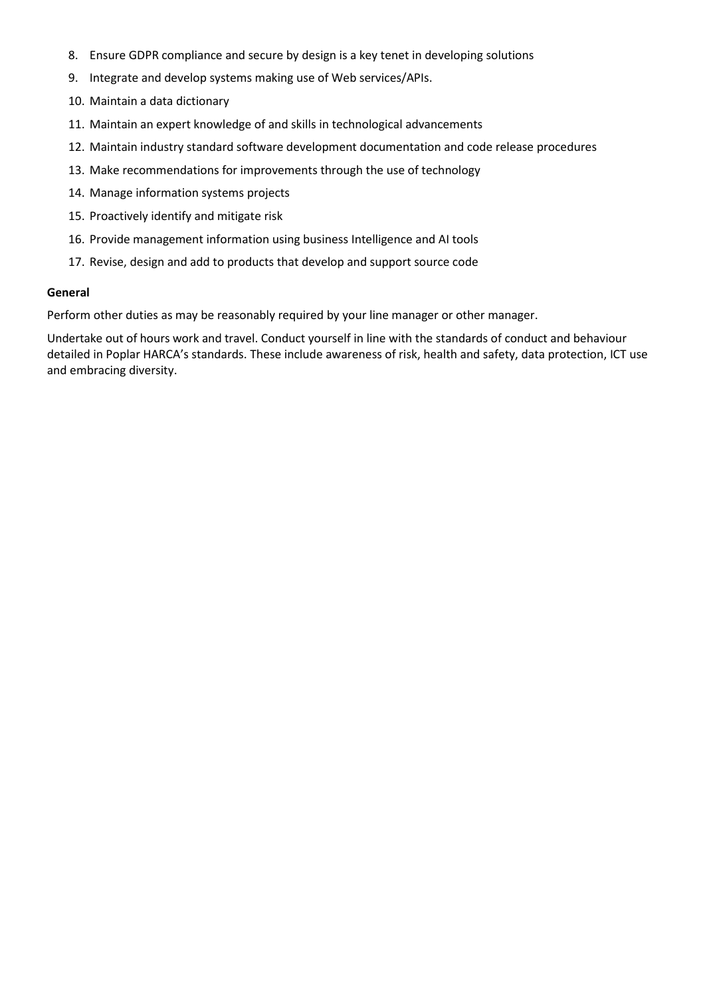- 8. Ensure GDPR compliance and secure by design is a key tenet in developing solutions
- 9. Integrate and develop systems making use of Web services/APIs.
- 10. Maintain a data dictionary
- 11. Maintain an expert knowledge of and skills in technological advancements
- 12. Maintain industry standard software development documentation and code release procedures
- 13. Make recommendations for improvements through the use of technology
- 14. Manage information systems projects
- 15. Proactively identify and mitigate risk
- 16. Provide management information using business Intelligence and AI tools
- 17. Revise, design and add to products that develop and support source code

## **General**

Perform other duties as may be reasonably required by your line manager or other manager.

Undertake out of hours work and travel. Conduct yourself in line with the standards of conduct and behaviour detailed in Poplar HARCA's standards. These include awareness of risk, health and safety, data protection, ICT use and embracing diversity.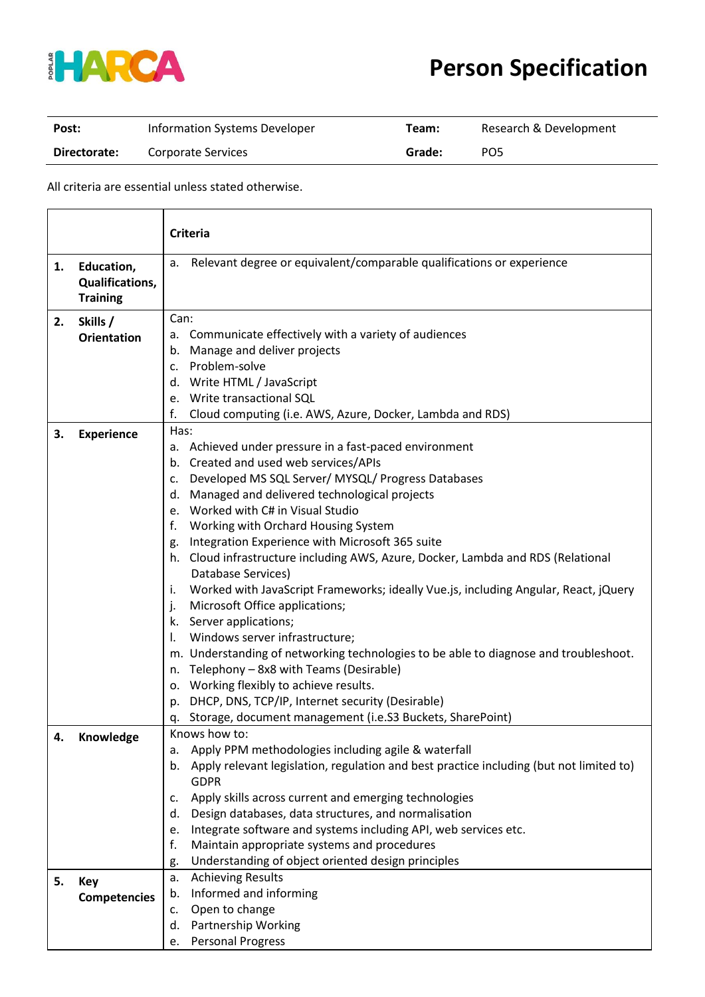

## **Person Specification**

| Post:        | Information Systems Developer | Team:  | Research & Development |
|--------------|-------------------------------|--------|------------------------|
| Directorate: | Corporate Services            | Grade: | PO5                    |

All criteria are essential unless stated otherwise.

|    |                                                         | <b>Criteria</b>                                                                                                |  |
|----|---------------------------------------------------------|----------------------------------------------------------------------------------------------------------------|--|
| 1. | Education,<br><b>Qualifications,</b><br><b>Training</b> | Relevant degree or equivalent/comparable qualifications or experience<br>а.                                    |  |
| 2. | Skills /                                                | Can:                                                                                                           |  |
|    | <b>Orientation</b>                                      | a. Communicate effectively with a variety of audiences                                                         |  |
|    |                                                         | b. Manage and deliver projects                                                                                 |  |
|    |                                                         | Problem-solve<br>C.                                                                                            |  |
|    |                                                         | d. Write HTML / JavaScript                                                                                     |  |
|    |                                                         | e. Write transactional SQL                                                                                     |  |
|    |                                                         | Cloud computing (i.e. AWS, Azure, Docker, Lambda and RDS)<br>f.                                                |  |
| 3. | <b>Experience</b>                                       | Has:                                                                                                           |  |
|    |                                                         | a. Achieved under pressure in a fast-paced environment                                                         |  |
|    |                                                         | b. Created and used web services/APIs                                                                          |  |
|    |                                                         | Developed MS SQL Server/ MYSQL/ Progress Databases<br>c.<br>Managed and delivered technological projects<br>d. |  |
|    |                                                         | e. Worked with C# in Visual Studio                                                                             |  |
|    |                                                         | Working with Orchard Housing System<br>f.                                                                      |  |
|    |                                                         | Integration Experience with Microsoft 365 suite<br>g.                                                          |  |
|    |                                                         | h. Cloud infrastructure including AWS, Azure, Docker, Lambda and RDS (Relational                               |  |
|    |                                                         | Database Services)                                                                                             |  |
|    |                                                         | Worked with JavaScript Frameworks; ideally Vue.js, including Angular, React, jQuery<br>Τ.                      |  |
|    |                                                         | Microsoft Office applications;<br>j.                                                                           |  |
|    |                                                         | k. Server applications;                                                                                        |  |
|    |                                                         | Windows server infrastructure;<br>Ι.                                                                           |  |
|    |                                                         | m. Understanding of networking technologies to be able to diagnose and troubleshoot.                           |  |
|    |                                                         | n. Telephony - 8x8 with Teams (Desirable)                                                                      |  |
|    |                                                         | o. Working flexibly to achieve results.                                                                        |  |
|    |                                                         | DHCP, DNS, TCP/IP, Internet security (Desirable)<br>p.                                                         |  |
|    |                                                         | Storage, document management (i.e.S3 Buckets, SharePoint)<br>q.                                                |  |
|    | Knowledge                                               | Knows how to:                                                                                                  |  |
|    |                                                         | Apply PPM methodologies including agile & waterfall<br>а.                                                      |  |
|    |                                                         | Apply relevant legislation, regulation and best practice including (but not limited to)<br>b.                  |  |
|    |                                                         | <b>GDPR</b>                                                                                                    |  |
|    |                                                         | Apply skills across current and emerging technologies<br>c.                                                    |  |
|    |                                                         | Design databases, data structures, and normalisation<br>d.                                                     |  |
|    |                                                         | Integrate software and systems including API, web services etc.<br>e.                                          |  |
|    |                                                         | f.<br>Maintain appropriate systems and procedures                                                              |  |
|    |                                                         | Understanding of object oriented design principles<br>g.                                                       |  |
| 5. | Key                                                     | <b>Achieving Results</b><br>a.                                                                                 |  |
|    | <b>Competencies</b>                                     | Informed and informing<br>b.                                                                                   |  |
|    |                                                         | Open to change<br>c.                                                                                           |  |
|    |                                                         | Partnership Working<br>d.                                                                                      |  |
|    |                                                         | <b>Personal Progress</b><br>e.                                                                                 |  |